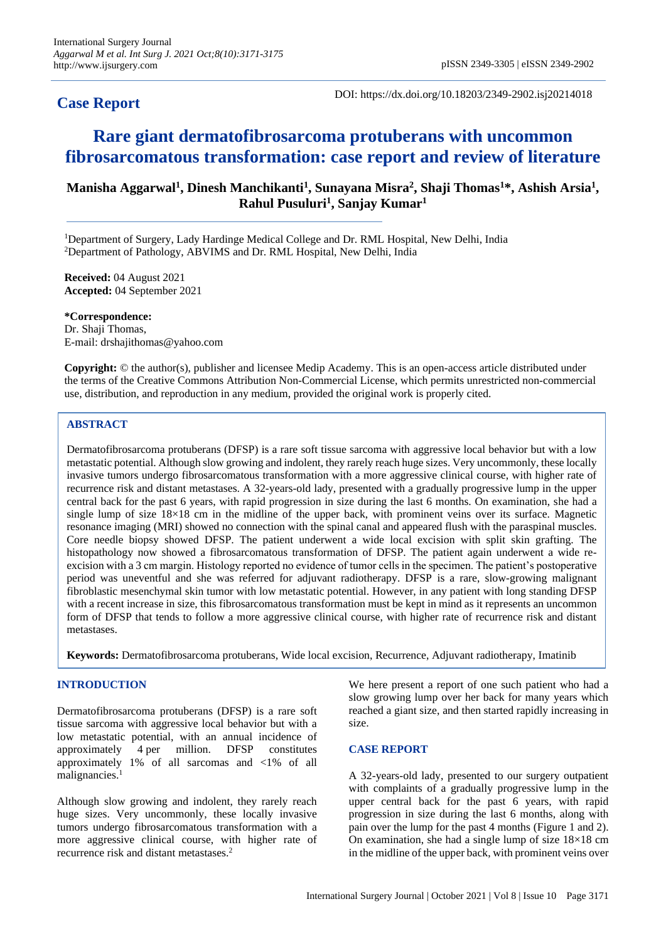# **Case Report**

DOI: https://dx.doi.org/10.18203/2349-2902.isj20214018

# **Rare giant dermatofibrosarcoma protuberans with uncommon fibrosarcomatous transformation: case report and review of literature**

## **Manisha Aggarwal<sup>1</sup> , Dinesh Manchikanti<sup>1</sup> , Sunayana Misra<sup>2</sup> , Shaji Thomas<sup>1</sup>\*, Ashish Arsia<sup>1</sup> , Rahul Pusuluri<sup>1</sup> , Sanjay Kumar<sup>1</sup>**

<sup>1</sup>Department of Surgery, Lady Hardinge Medical College and Dr. RML Hospital, New Delhi, India <sup>2</sup>Department of Pathology, ABVIMS and Dr. RML Hospital, New Delhi, India

**Received:** 04 August 2021 **Accepted:** 04 September 2021

**\*Correspondence:** Dr. Shaji Thomas, E-mail: drshajithomas@yahoo.com

**Copyright:** © the author(s), publisher and licensee Medip Academy. This is an open-access article distributed under the terms of the Creative Commons Attribution Non-Commercial License, which permits unrestricted non-commercial use, distribution, and reproduction in any medium, provided the original work is properly cited.

## **ABSTRACT**

Dermatofibrosarcoma protuberans (DFSP) is a rare soft tissue sarcoma with aggressive local behavior but with a low metastatic potential. Although slow growing and indolent, they rarely reach huge sizes. Very uncommonly, these locally invasive tumors undergo fibrosarcomatous transformation with a more aggressive clinical course, with higher rate of recurrence risk and distant metastases. A 32-years-old lady, presented with a gradually progressive lump in the upper central back for the past 6 years, with rapid progression in size during the last 6 months. On examination, she had a single lump of size 18×18 cm in the midline of the upper back, with prominent veins over its surface. Magnetic resonance imaging (MRI) showed no connection with the spinal canal and appeared flush with the paraspinal muscles. Core needle biopsy showed DFSP. The patient underwent a wide local excision with split skin grafting. The histopathology now showed a fibrosarcomatous transformation of DFSP. The patient again underwent a wide reexcision with a 3 cm margin. Histology reported no evidence of tumor cells in the specimen. The patient's postoperative period was uneventful and she was referred for adjuvant radiotherapy. DFSP is a rare, slow-growing malignant fibroblastic mesenchymal skin tumor with low metastatic potential. However, in any patient with long standing DFSP with a recent increase in size, this fibrosarcomatous transformation must be kept in mind as it represents an uncommon form of DFSP that tends to follow a more aggressive clinical course, with higher rate of recurrence risk and distant metastases.

**Keywords:** Dermatofibrosarcoma protuberans, Wide local excision, Recurrence, Adjuvant radiotherapy, Imatinib

#### **INTRODUCTION**

Dermatofibrosarcoma protuberans (DFSP) is a rare soft tissue sarcoma with aggressive local behavior but with a low metastatic potential, with an annual incidence of approximately 4 per million. DFSP constitutes approximately 1% of all sarcomas and <1% of all malignancies.<sup>1</sup>

Although slow growing and indolent, they rarely reach huge sizes. Very uncommonly, these locally invasive tumors undergo fibrosarcomatous transformation with a more aggressive clinical course, with higher rate of recurrence risk and distant metastases.<sup>2</sup>

We here present a report of one such patient who had a slow growing lump over her back for many years which reached a giant size, and then started rapidly increasing in size.

#### **CASE REPORT**

A 32-years-old lady, presented to our surgery outpatient with complaints of a gradually progressive lump in the upper central back for the past 6 years, with rapid progression in size during the last 6 months, along with pain over the lump for the past 4 months (Figure 1 and 2). On examination, she had a single lump of size  $18\times18$  cm in the midline of the upper back, with prominent veins over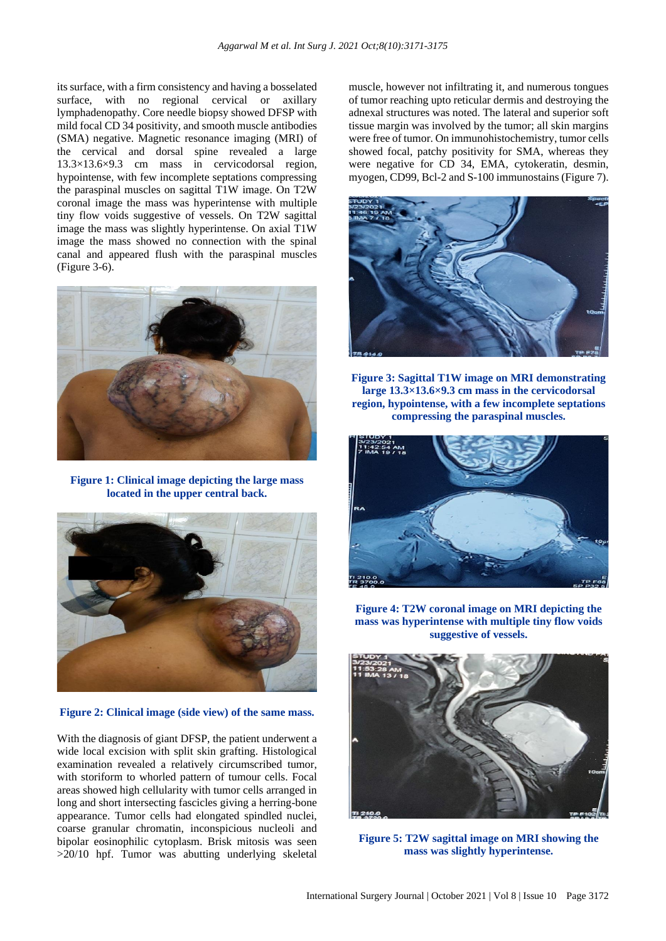its surface, with a firm consistency and having a bosselated surface, with no regional cervical or axillary lymphadenopathy. Core needle biopsy showed DFSP with mild focal CD 34 positivity, and smooth muscle antibodies (SMA) negative. Magnetic resonance imaging (MRI) of the cervical and dorsal spine revealed a large 13.3×13.6×9.3 cm mass in cervicodorsal region, hypointense, with few incomplete septations compressing the paraspinal muscles on sagittal T1W image. On T2W coronal image the mass was hyperintense with multiple tiny flow voids suggestive of vessels. On T2W sagittal image the mass was slightly hyperintense. On axial T1W image the mass showed no connection with the spinal canal and appeared flush with the paraspinal muscles (Figure 3-6).



**Figure 1: Clinical image depicting the large mass located in the upper central back.**



**Figure 2: Clinical image (side view) of the same mass.**

With the diagnosis of giant DFSP, the patient underwent a wide local excision with split skin grafting. Histological examination revealed a relatively circumscribed tumor, with storiform to whorled pattern of tumour cells. Focal areas showed high cellularity with tumor cells arranged in long and short intersecting fascicles giving a herring-bone appearance. Tumor cells had elongated spindled nuclei, coarse granular chromatin, inconspicious nucleoli and bipolar eosinophilic cytoplasm. Brisk mitosis was seen >20/10 hpf. Tumor was abutting underlying skeletal muscle, however not infiltrating it, and numerous tongues of tumor reaching upto reticular dermis and destroying the adnexal structures was noted. The lateral and superior soft tissue margin was involved by the tumor; all skin margins were free of tumor. On immunohistochemistry, tumor cells showed focal, patchy positivity for SMA, whereas they were negative for CD 34, EMA, cytokeratin, desmin, myogen, CD99, Bcl-2 and S-100 immunostains (Figure 7).



**Figure 3: Sagittal T1W image on MRI demonstrating large 13.3×13.6×9.3 cm mass in the cervicodorsal region, hypointense, with a few incomplete septations compressing the paraspinal muscles.** 



**Figure 4: T2W coronal image on MRI depicting the mass was hyperintense with multiple tiny flow voids suggestive of vessels.**

![](_page_1_Picture_12.jpeg)

**Figure 5: T2W sagittal image on MRI showing the mass was slightly hyperintense.**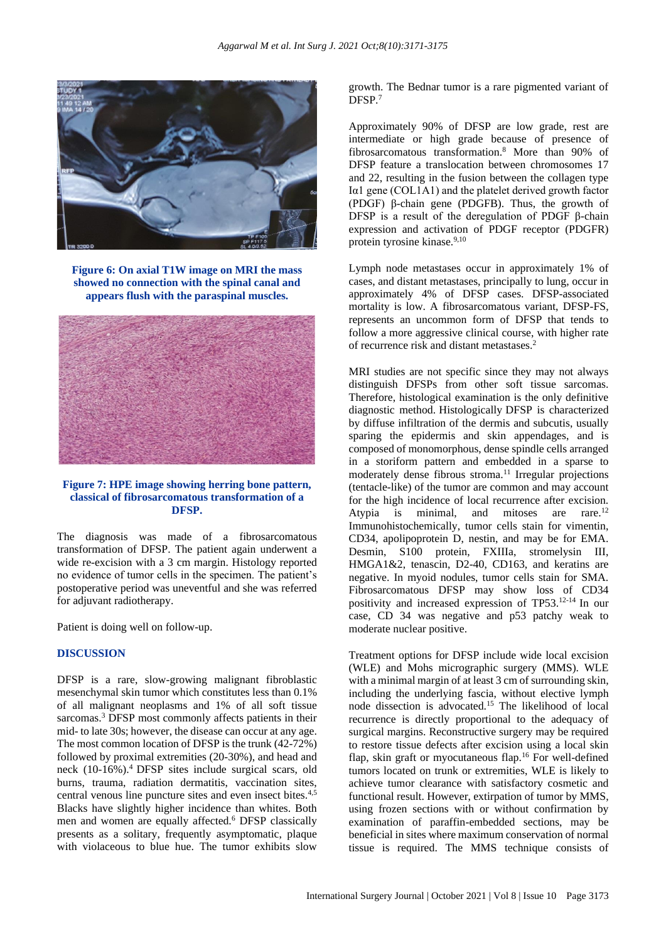![](_page_2_Picture_1.jpeg)

**Figure 6: On axial T1W image on MRI the mass showed no connection with the spinal canal and appears flush with the paraspinal muscles.**

![](_page_2_Picture_3.jpeg)

**Figure 7: HPE image showing herring bone pattern, classical of fibrosarcomatous transformation of a DFSP.**

The diagnosis was made of a fibrosarcomatous transformation of DFSP. The patient again underwent a wide re-excision with a 3 cm margin. Histology reported no evidence of tumor cells in the specimen. The patient's postoperative period was uneventful and she was referred for adjuvant radiotherapy.

Patient is doing well on follow-up.

#### **DISCUSSION**

DFSP is a rare, slow-growing malignant fibroblastic mesenchymal skin tumor which constitutes less than 0.1% of all malignant neoplasms and 1% of all soft tissue sarcomas.<sup>3</sup> DFSP most commonly affects patients in their mid- to late 30s; however, the disease can occur at any age. The most common location of DFSP is the trunk (42-72%) followed by proximal extremities (20-30%), and head and neck  $(10-16%)$ <sup>4</sup> DFSP sites include surgical scars, old burns, trauma, radiation dermatitis, vaccination sites, central venous line puncture sites and even insect bites.<sup>4,5</sup> Blacks have slightly higher incidence than whites. Both men and women are equally affected.<sup>6</sup> DFSP classically presents as a solitary, frequently asymptomatic, plaque with violaceous to blue hue. The tumor exhibits slow

growth. The Bednar tumor is a rare pigmented variant of DFSP.<sup>7</sup>

Approximately 90% of DFSP are low grade, rest are intermediate or high grade because of presence of fibrosarcomatous transformation.<sup>8</sup> More than 90% of DFSP feature a translocation between chromosomes 17 and 22, resulting in the fusion between the collagen type Iα1 gene (COL1A1) and the platelet derived growth factor (PDGF) β-chain gene (PDGFB). Thus, the growth of DFSP is a result of the deregulation of PDGF β-chain expression and activation of PDGF receptor (PDGFR) protein tyrosine kinase.9,10

Lymph node metastases occur in approximately 1% of cases, and distant metastases, principally to lung, occur in approximately 4% of DFSP cases. DFSP-associated mortality is low. A fibrosarcomatous variant, DFSP-FS, represents an uncommon form of DFSP that tends to follow a more aggressive clinical course, with higher rate of recurrence risk and distant metastases.<sup>2</sup>

MRI studies are not specific since they may not always distinguish DFSPs from other soft tissue sarcomas. Therefore, histological examination is the only definitive diagnostic method. Histologically DFSP is characterized by diffuse infiltration of the dermis and subcutis, usually sparing the epidermis and skin appendages, and is composed of monomorphous, dense spindle cells arranged in a storiform pattern and embedded in a sparse to moderately dense fibrous stroma.<sup>11</sup> Irregular projections (tentacle-like) of the tumor are common and may account for the high incidence of local recurrence after excision. Atypia is minimal, and mitoses are rare.<sup>12</sup> Immunohistochemically, tumor cells stain for vimentin, CD34, apolipoprotein D, nestin, and may be for EMA. Desmin, S100 protein, FXIIIa, stromelysin III, HMGA1&2, tenascin, D2-40, CD163, and keratins are negative. In myoid nodules, tumor cells stain for SMA. Fibrosarcomatous DFSP may show loss of CD34 positivity and increased expression of TP53.12-14 In our case, CD 34 was negative and p53 patchy weak to moderate nuclear positive.

Treatment options for DFSP include wide local excision (WLE) and Mohs micrographic surgery (MMS). WLE with a minimal margin of at least 3 cm of surrounding skin. including the underlying fascia, without elective lymph node dissection is advocated.<sup>15</sup> The likelihood of local recurrence is directly proportional to the adequacy of surgical margins. Reconstructive surgery may be required to restore tissue defects after excision using a local skin flap, skin graft or myocutaneous flap.<sup>16</sup> For well-defined tumors located on trunk or extremities, WLE is likely to achieve tumor clearance with satisfactory cosmetic and functional result. However, extirpation of tumor by MMS, using frozen sections with or without confirmation by examination of paraffin-embedded sections, may be beneficial in sites where maximum conservation of normal tissue is required. The MMS technique consists of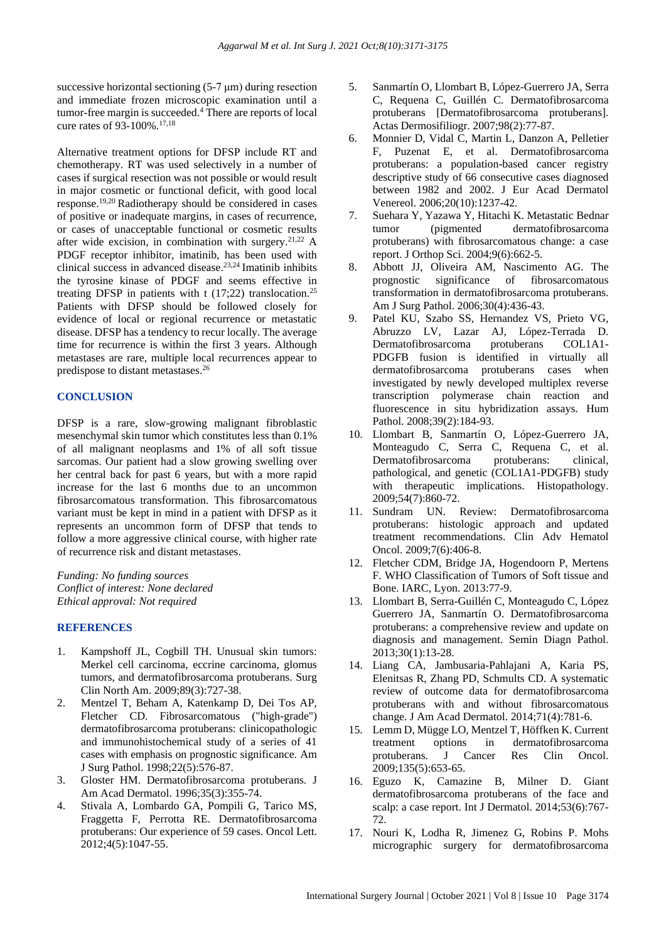successive horizontal sectioning (5-7 μm) during resection and immediate frozen microscopic examination until a tumor-free margin is succeeded.<sup>4</sup> There are reports of local cure rates of 93-100%.17,18

Alternative treatment options for DFSP include RT and chemotherapy. RT was used selectively in a number of cases if surgical resection was not possible or would result in major cosmetic or functional deficit, with good local response.19,20 Radiotherapy should be considered in cases of positive or inadequate margins, in cases of recurrence, or cases of unacceptable functional or cosmetic results after wide excision, in combination with surgery.<sup>21,22</sup> A PDGF receptor inhibitor, imatinib, has been used with clinical success in advanced disease.23,24 Imatinib inhibits the tyrosine kinase of PDGF and seems effective in treating DFSP in patients with  $t$  (17;22) translocation.<sup>25</sup> Patients with DFSP should be followed closely for evidence of local or regional recurrence or metastatic disease. DFSP has a tendency to recur locally. The average time for recurrence is within the first 3 years. Although metastases are rare, multiple local recurrences appear to predispose to distant metastases.<sup>26</sup>

## **CONCLUSION**

DFSP is a rare, slow-growing malignant fibroblastic mesenchymal skin tumor which constitutes less than 0.1% of all malignant neoplasms and 1% of all soft tissue sarcomas. Our patient had a slow growing swelling over her central back for past 6 years, but with a more rapid increase for the last 6 months due to an uncommon fibrosarcomatous transformation. This fibrosarcomatous variant must be kept in mind in a patient with DFSP as it represents an uncommon form of DFSP that tends to follow a more aggressive clinical course, with higher rate of recurrence risk and distant metastases.

*Funding: No funding sources Conflict of interest: None declared Ethical approval: Not required*

#### **REFERENCES**

- 1. Kampshoff JL, Cogbill TH. Unusual skin tumors: Merkel cell carcinoma, eccrine carcinoma, glomus tumors, and dermatofibrosarcoma protuberans. Surg Clin North Am. 2009;89(3):727-38.
- 2. Mentzel T, Beham A, Katenkamp D, Dei Tos AP, Fletcher CD. Fibrosarcomatous ("high-grade") dermatofibrosarcoma protuberans: clinicopathologic and immunohistochemical study of a series of 41 cases with emphasis on prognostic significance. Am J Surg Pathol. 1998;22(5):576-87.
- 3. Gloster HM. Dermatofibrosarcoma protuberans. J Am Acad Dermatol. 1996;35(3):355-74.
- 4. Stivala A, Lombardo GA, Pompili G, Tarico MS, Fraggetta F, Perrotta RE. Dermatofibrosarcoma protuberans: Our experience of 59 cases. Oncol Lett. 2012;4(5):1047-55.
- 5. Sanmartín O, Llombart B, López-Guerrero JA, Serra C, Requena C, Guillén C. Dermatofibrosarcoma protuberans [Dermatofibrosarcoma protuberans]. Actas Dermosifiliogr. 2007;98(2):77-87.
- 6. Monnier D, Vidal C, Martin L, Danzon A, Pelletier F, Puzenat E, et al. Dermatofibrosarcoma protuberans: a population-based cancer registry descriptive study of 66 consecutive cases diagnosed between 1982 and 2002. J Eur Acad Dermatol Venereol. 2006;20(10):1237-42.
- 7. Suehara Y, Yazawa Y, Hitachi K. Metastatic Bednar tumor (pigmented dermatofibrosarcoma protuberans) with fibrosarcomatous change: a case report. J Orthop Sci. 2004;9(6):662-5.
- 8. Abbott JJ, Oliveira AM, Nascimento AG. The prognostic significance of fibrosarcomatous transformation in dermatofibrosarcoma protuberans. Am J Surg Pathol. 2006;30(4):436-43.
- 9. Patel KU, Szabo SS, Hernandez VS, Prieto VG, Abruzzo LV, Lazar AJ, López-Terrada D. Dermatofibrosarcoma protuberans COL1A1- PDGFB fusion is identified in virtually all dermatofibrosarcoma protuberans cases when investigated by newly developed multiplex reverse transcription polymerase chain reaction and fluorescence in situ hybridization assays. Hum Pathol. 2008;39(2):184-93.
- 10. Llombart B, Sanmartín O, López-Guerrero JA, Monteagudo C, Serra C, Requena C, et al. Dermatofibrosarcoma protuberans: clinical, pathological, and genetic (COL1A1-PDGFB) study with therapeutic implications. Histopathology. 2009;54(7):860-72.
- 11. Sundram UN. Review: Dermatofibrosarcoma protuberans: histologic approach and updated treatment recommendations. Clin Adv Hematol Oncol. 2009;7(6):406-8.
- 12. Fletcher CDM, Bridge JA, Hogendoorn P, Mertens F. WHO Classification of Tumors of Soft tissue and Bone. IARC, Lyon. 2013:77-9.
- 13. Llombart B, Serra-Guillén C, Monteagudo C, López Guerrero JA, Sanmartín O. Dermatofibrosarcoma protuberans: a comprehensive review and update on diagnosis and management. Semin Diagn Pathol. 2013;30(1):13-28.
- 14. Liang CA, Jambusaria-Pahlajani A, Karia PS, Elenitsas R, Zhang PD, Schmults CD. A systematic review of outcome data for dermatofibrosarcoma protuberans with and without fibrosarcomatous change. J Am Acad Dermatol. 2014;71(4):781-6.
- 15. Lemm D, Mügge LO, Mentzel T, Höffken K. Current treatment options in dermatofibrosarcoma protuberans. J Cancer Res Clin Oncol. 2009;135(5):653-65.
- 16. Eguzo K, Camazine B, Milner D. Giant dermatofibrosarcoma protuberans of the face and scalp: a case report. Int J Dermatol. 2014;53(6):767- 72.
- 17. Nouri K, Lodha R, Jimenez G, Robins P. Mohs micrographic surgery for dermatofibrosarcoma